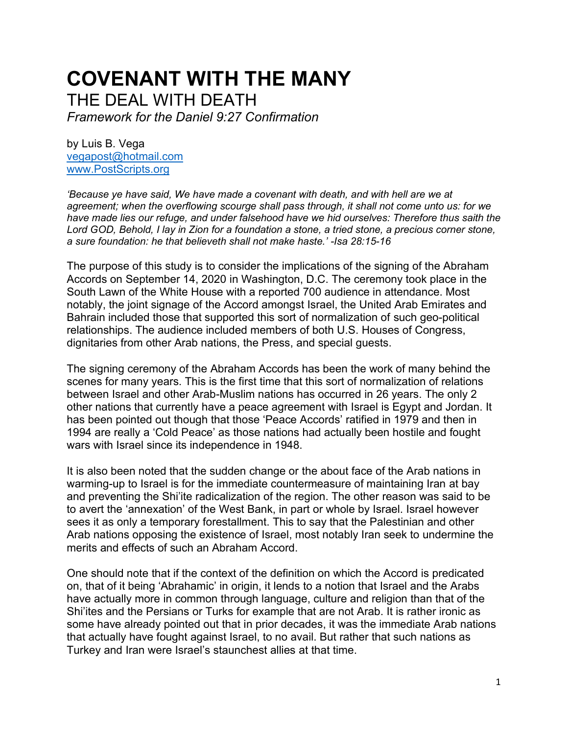## **COVENANT WITH THE MANY** THE DEAL WITH DEATH

*Framework for the Daniel 9:27 Confirmation*

by Luis B. Vega [vegapost@hotmail.com](mailto:vegapost@hotmail.com) [www.PostScripts.org](http://www.postscripts.org/)

*'Because ye have said, We have made a covenant with death, and with hell are we at agreement; when the overflowing scourge shall pass through, it shall not come unto us: for we have made lies our refuge, and under falsehood have we hid ourselves: Therefore thus saith the Lord GOD, Behold, I lay in Zion for a foundation a stone, a tried stone, a precious corner stone, a sure foundation: he that believeth shall not make haste.' -Isa 28:15-16*

The purpose of this study is to consider the implications of the signing of the Abraham Accords on September 14, 2020 in Washington, D.C. The ceremony took place in the South Lawn of the White House with a reported 700 audience in attendance. Most notably, the joint signage of the Accord amongst Israel, the United Arab Emirates and Bahrain included those that supported this sort of normalization of such geo-political relationships. The audience included members of both U.S. Houses of Congress, dignitaries from other Arab nations, the Press, and special guests.

The signing ceremony of the Abraham Accords has been the work of many behind the scenes for many years. This is the first time that this sort of normalization of relations between Israel and other Arab-Muslim nations has occurred in 26 years. The only 2 other nations that currently have a peace agreement with Israel is Egypt and Jordan. It has been pointed out though that those 'Peace Accords' ratified in 1979 and then in 1994 are really a 'Cold Peace' as those nations had actually been hostile and fought wars with Israel since its independence in 1948.

It is also been noted that the sudden change or the about face of the Arab nations in warming-up to Israel is for the immediate countermeasure of maintaining Iran at bay and preventing the Shi'ite radicalization of the region. The other reason was said to be to avert the 'annexation' of the West Bank, in part or whole by Israel. Israel however sees it as only a temporary forestallment. This to say that the Palestinian and other Arab nations opposing the existence of Israel, most notably Iran seek to undermine the merits and effects of such an Abraham Accord.

One should note that if the context of the definition on which the Accord is predicated on, that of it being 'Abrahamic' in origin, it lends to a notion that Israel and the Arabs have actually more in common through language, culture and religion than that of the Shi'ites and the Persians or Turks for example that are not Arab. It is rather ironic as some have already pointed out that in prior decades, it was the immediate Arab nations that actually have fought against Israel, to no avail. But rather that such nations as Turkey and Iran were Israel's staunchest allies at that time.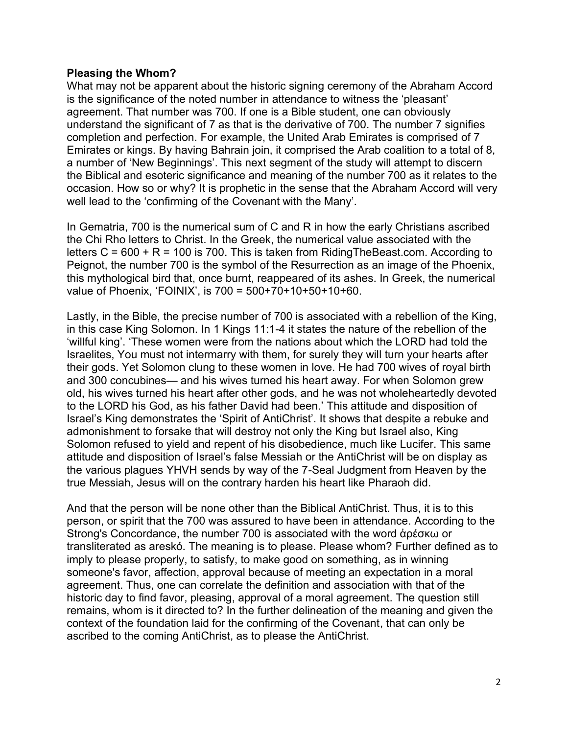## **Pleasing the Whom?**

What may not be apparent about the historic signing ceremony of the Abraham Accord is the significance of the noted number in attendance to witness the 'pleasant' agreement. That number was 700. If one is a Bible student, one can obviously understand the significant of 7 as that is the derivative of 700. The number 7 signifies completion and perfection. For example, the United Arab Emirates is comprised of 7 Emirates or kings. By having Bahrain join, it comprised the Arab coalition to a total of 8, a number of 'New Beginnings'. This next segment of the study will attempt to discern the Biblical and esoteric significance and meaning of the number 700 as it relates to the occasion. How so or why? It is prophetic in the sense that the Abraham Accord will very well lead to the 'confirming of the Covenant with the Many'.

In Gematria, 700 is the numerical sum of C and R in how the early Christians ascribed the Chi Rho letters to Christ. In the Greek, the numerical value associated with the letters  $C = 600 + R = 100$  is 700. This is taken from RidingTheBeast.com. According to Peignot, the number 700 is the symbol of the Resurrection as an image of the Phoenix, this mythological bird that, once burnt, reappeared of its ashes. In Greek, the numerical value of Phoenix, 'FOINIX', is 700 = 500+70+10+50+10+60.

Lastly, in the Bible, the precise number of 700 is associated with a rebellion of the King, in this case King Solomon. In 1 Kings 11:1-4 it states the nature of the rebellion of the 'willful king'. 'These women were from the nations about which the LORD had told the Israelites, You must not intermarry with them, for surely they will turn your hearts after their gods. Yet Solomon clung to these women in love. He had 700 wives of royal birth and 300 concubines— and his wives turned his heart away. For when Solomon grew old, his wives turned his heart after other gods, and he was not wholeheartedly devoted to the LORD his God, as his father David had been.' This attitude and disposition of Israel's King demonstrates the 'Spirit of AntiChrist'. It shows that despite a rebuke and admonishment to forsake that will destroy not only the King but Israel also, King Solomon refused to yield and repent of his disobedience, much like Lucifer. This same attitude and disposition of Israel's false Messiah or the AntiChrist will be on display as the various plagues YHVH sends by way of the 7-Seal Judgment from Heaven by the true Messiah, Jesus will on the contrary harden his heart like Pharaoh did.

And that the person will be none other than the Biblical AntiChrist. Thus, it is to this person, or spirit that the 700 was assured to have been in attendance. According to the Strong's Concordance, the number 700 is associated with the word ἀρέσκω or transliterated as areskó. The meaning is to please. Please whom? Further defined as to imply to please properly, to satisfy, to make good on something, as in winning someone's favor, affection, approval because of meeting an expectation in a moral agreement. Thus, one can correlate the definition and association with that of the historic day to find favor, pleasing, approval of a moral agreement. The question still remains, whom is it directed to? In the further delineation of the meaning and given the context of the foundation laid for the confirming of the Covenant, that can only be ascribed to the coming AntiChrist, as to please the AntiChrist.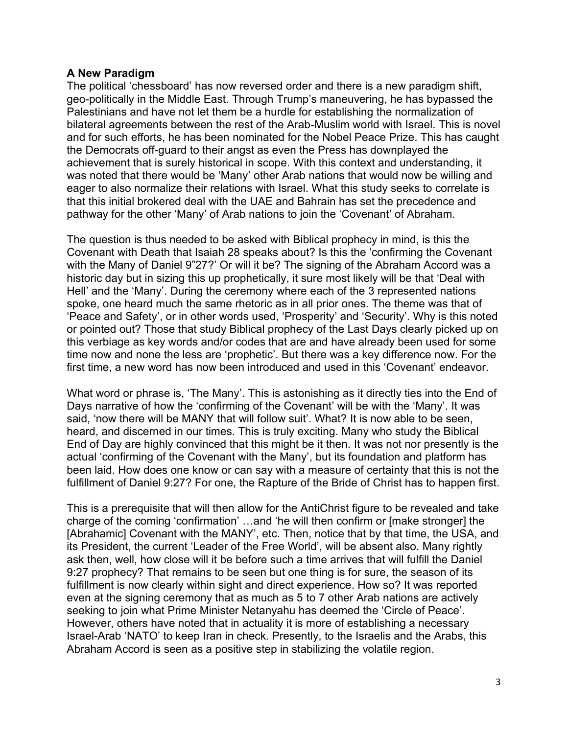## **A New Paradigm**

The political 'chessboard' has now reversed order and there is a new paradigm shift, geo-politically in the Middle East. Through Trump's maneuvering, he has bypassed the Palestinians and have not let them be a hurdle for establishing the normalization of bilateral agreements between the rest of the Arab-Muslim world with Israel. This is novel and for such efforts, he has been nominated for the Nobel Peace Prize. This has caught the Democrats off-guard to their angst as even the Press has downplayed the achievement that is surely historical in scope. With this context and understanding, it was noted that there would be 'Many' other Arab nations that would now be willing and eager to also normalize their relations with Israel. What this study seeks to correlate is that this initial brokered deal with the UAE and Bahrain has set the precedence and pathway for the other 'Many' of Arab nations to join the 'Covenant' of Abraham.

The question is thus needed to be asked with Biblical prophecy in mind, is this the Covenant with Death that Isaiah 28 speaks about? Is this the 'confirming the Covenant with the Many of Daniel 9"27?' Or will it be? The signing of the Abraham Accord was a historic day but in sizing this up prophetically, it sure most likely will be that 'Deal with Hell' and the 'Many'. During the ceremony where each of the 3 represented nations spoke, one heard much the same rhetoric as in all prior ones. The theme was that of 'Peace and Safety', or in other words used, 'Prosperity' and 'Security'. Why is this noted or pointed out? Those that study Biblical prophecy of the Last Days clearly picked up on this verbiage as key words and/or codes that are and have already been used for some time now and none the less are 'prophetic'. But there was a key difference now. For the first time, a new word has now been introduced and used in this 'Covenant' endeavor.

What word or phrase is, 'The Many'. This is astonishing as it directly ties into the End of Days narrative of how the 'confirming of the Covenant' will be with the 'Many'. It was said, 'now there will be MANY that will follow suit'. What? It is now able to be seen, heard, and discerned in our times. This is truly exciting. Many who study the Biblical End of Day are highly convinced that this might be it then. It was not nor presently is the actual 'confirming of the Covenant with the Many', but its foundation and platform has been laid. How does one know or can say with a measure of certainty that this is not the fulfillment of Daniel 9:27? For one, the Rapture of the Bride of Christ has to happen first.

This is a prerequisite that will then allow for the AntiChrist figure to be revealed and take charge of the coming 'confirmation' …and 'he will then confirm or [make stronger] the [Abrahamic] Covenant with the MANY', etc. Then, notice that by that time, the USA, and its President, the current 'Leader of the Free World', will be absent also. Many rightly ask then, well, how close will it be before such a time arrives that will fulfill the Daniel 9:27 prophecy? That remains to be seen but one thing is for sure, the season of its fulfillment is now clearly within sight and direct experience. How so? It was reported even at the signing ceremony that as much as 5 to 7 other Arab nations are actively seeking to join what Prime Minister Netanyahu has deemed the 'Circle of Peace'. However, others have noted that in actuality it is more of establishing a necessary Israel-Arab 'NATO' to keep Iran in check. Presently, to the Israelis and the Arabs, this Abraham Accord is seen as a positive step in stabilizing the volatile region.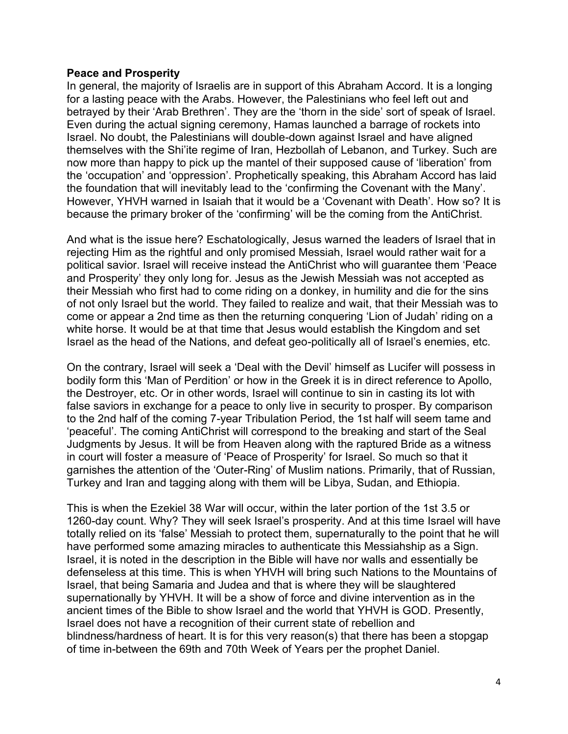## **Peace and Prosperity**

In general, the majority of Israelis are in support of this Abraham Accord. It is a longing for a lasting peace with the Arabs. However, the Palestinians who feel left out and betrayed by their 'Arab Brethren'. They are the 'thorn in the side' sort of speak of Israel. Even during the actual signing ceremony, Hamas launched a barrage of rockets into Israel. No doubt, the Palestinians will double-down against Israel and have aligned themselves with the Shi'ite regime of Iran, Hezbollah of Lebanon, and Turkey. Such are now more than happy to pick up the mantel of their supposed cause of 'liberation' from the 'occupation' and 'oppression'. Prophetically speaking, this Abraham Accord has laid the foundation that will inevitably lead to the 'confirming the Covenant with the Many'. However, YHVH warned in Isaiah that it would be a 'Covenant with Death'. How so? It is because the primary broker of the 'confirming' will be the coming from the AntiChrist.

And what is the issue here? Eschatologically, Jesus warned the leaders of Israel that in rejecting Him as the rightful and only promised Messiah, Israel would rather wait for a political savior. Israel will receive instead the AntiChrist who will guarantee them 'Peace and Prosperity' they only long for. Jesus as the Jewish Messiah was not accepted as their Messiah who first had to come riding on a donkey, in humility and die for the sins of not only Israel but the world. They failed to realize and wait, that their Messiah was to come or appear a 2nd time as then the returning conquering 'Lion of Judah' riding on a white horse. It would be at that time that Jesus would establish the Kingdom and set Israel as the head of the Nations, and defeat geo-politically all of Israel's enemies, etc.

On the contrary, Israel will seek a 'Deal with the Devil' himself as Lucifer will possess in bodily form this 'Man of Perdition' or how in the Greek it is in direct reference to Apollo, the Destroyer, etc. Or in other words, Israel will continue to sin in casting its lot with false saviors in exchange for a peace to only live in security to prosper. By comparison to the 2nd half of the coming 7-year Tribulation Period, the 1st half will seem tame and 'peaceful'. The coming AntiChrist will correspond to the breaking and start of the Seal Judgments by Jesus. It will be from Heaven along with the raptured Bride as a witness in court will foster a measure of 'Peace of Prosperity' for Israel. So much so that it garnishes the attention of the 'Outer-Ring' of Muslim nations. Primarily, that of Russian, Turkey and Iran and tagging along with them will be Libya, Sudan, and Ethiopia.

This is when the Ezekiel 38 War will occur, within the later portion of the 1st 3.5 or 1260-day count. Why? They will seek Israel's prosperity. And at this time Israel will have totally relied on its 'false' Messiah to protect them, supernaturally to the point that he will have performed some amazing miracles to authenticate this Messiahship as a Sign. Israel, it is noted in the description in the Bible will have nor walls and essentially be defenseless at this time. This is when YHVH will bring such Nations to the Mountains of Israel, that being Samaria and Judea and that is where they will be slaughtered supernationally by YHVH. It will be a show of force and divine intervention as in the ancient times of the Bible to show Israel and the world that YHVH is GOD. Presently, Israel does not have a recognition of their current state of rebellion and blindness/hardness of heart. It is for this very reason(s) that there has been a stopgap of time in-between the 69th and 70th Week of Years per the prophet Daniel.